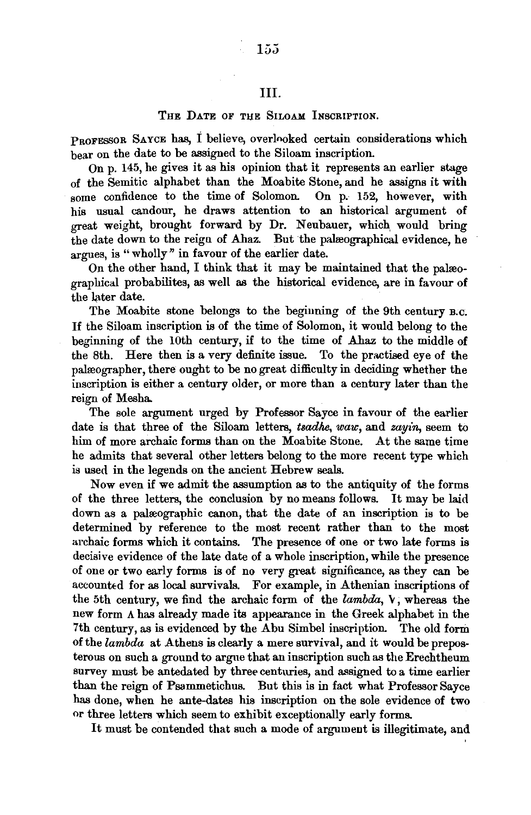## III.

## THE DATE OF THE SILOAM INSCRIPTION.

PROFESSOR SAYCE has, I believe, overlooked certain considerations which bear on the date to be assigned to the Siloam inscription.

On p. 145, he gives it as his opinion that it represents an earlier stage of the Semitic alphabet than the Moabite Stone, and he assigns it with some confidence to the time of Solomon. On p. 152, however, with his usual candour, he draws attention to an historical argument of great weight, brought forward by Dr. Neubauer, which, would bring the date down to the reign of Ahaz. But the palreographical evidence, he argues, is "wholly" in favour of the earlier date.

On the other hand, I think that it may be maintained that the palreographical probabilites, as well as the historical evidence, are in favour of the later date.

The Moabite stone belongs to the beginning of the 9th century B.c. If the Siloam inscription is of the time of Solomon, it would belong to the beginning of the lOth century, if to the time of Ahaz to the middle of the Sth. Here then is a very definite issue. To the practised eye of the palreographer, there ought to be no great difficulty in deciding whether the inscription is either a century older, or more than a century later than the reign of Mesha.

The sole argument urged by Professor Sayce in favour of the earlier date is that three of the Siloam letters, *tsadhe, waw*, and *zayin*, seem to him of more archaic forms than on the Moabite Stone. At the same time he admits that several other letters belong to the more recent type which is used in the legends on the ancient Hebrew seals.

Now even if we admit the assumption as to the antiquity of the forms of the three letters, the conclusion by no means follows. It may be laid down as a palæographic canon, that the date of an inscription is to be determined by reference to the most recent rather than to the most archaic forms which it contains. The presence of one or two late forms is decisive evidence of the late date of a whole inscription, while the presence of one or two early forms is of no very great significance, as they can be accounted for as local survivals. For example, in Athenian inscriptions of the 5th century, we find the archaic form of the *lambda*,  $V$ , whereas the new form *A* has already made its appearance in the Greek alphabet in the 7th century, as is evidenced by the Abu Simbel inscription. The old form of the *lambda* at Athens is clearly a mere survival, and it would be preposterous on such a ground to argue that an inscription such as the Erechtheum survey must be antedated by three centuries, and assigned to a time earlier than the reign of Psammetichus. But this is in fact what Professor Sayce has done, when he ante-dates his inscription on the sole evidence of two or three letters which seem to exhibit exceptionally early forms.

It must be contended that such a mode of argument is illegitimate, and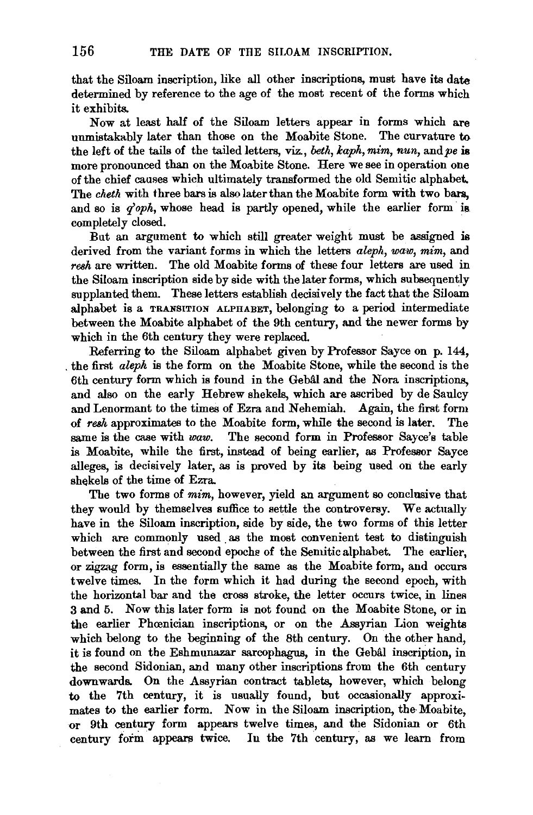that the Siloam inscription, like all other inscriptions, must have its date determined by reference to the age of the most recent of the forms which it exhibits.

Now at least half of the Siloam letters appear in forms which are unmistakably later than those on the Moabite Stone. The curvature to the left of the tails of the tailed letters, viz., *beth, kaph, mim, nun,* and *pe* is more pronounced than on the Moabite Stone. Here we see in operation one of the chief causes which ultimately transformed the old Semitic alphabet. The *cheth* with three bars is also later than the Moabite form with two bars, and so is *q'oph*, whose head is partly opened, while the earlier form is. completely closed.

But an argument to which still greater weight must be assigned is derived from the variant forms in which the letters *aleph, waw, mim,* and *resh* are written. The old Moabite forms of these four letters are used in the Siloam inscription side by side with the later forms, which subsequently supplanted them. These letters establish decisively the fact that the Siloam alphabet is a TRANSITION ALPHABET, belonging to a period intermediate between the Moabite alphabet of the 9th century, and the newer forms by which in the 6th century they were replaced.

Referring to the Siloam alphabet given by Professor Sayce on p. 144, . the first *aleph* is the form on the Moabite Stone, while the second is the 6th century form which is found in the Gebal and the Nora inscriptions, and also on the early Hebrew shekels, which are ascribed by de Saulcy and Lenormant to the times of Ezra and Nehemiah. Again, the first form of *resh* approximates to the Moabite form, while the second is later. The same is the case with *waw.* The second form in Professor Sayce's table is Moabite, while the first, instead of being earlier, as Professor Sayce alleges, is decisively later, as is proved by its being used on the early shekels of the time of Ezra.

The two forms of *mim,* however, yield an argument so conclusive that they would by themselves suffice to settle the controversy. We actually have in the Siloam inscription, side by side, the two forms of this letter which are commonly used as the most convenient test to distinguish between the first and second epoche of the Semitic alphabet. The earlier, or zigzag form, is essentially the same as the Moabite form, and occurs twelve times. In the form which it had during the second epoch, with the horizontal bar and the cross stroke, the letter occurs twice, in lines 3 and 5. Now this later form is not found on the Moabite Stone, or in the earlier Phoenician inscriptions, or on the Assyrian Lion weights which belong to the beginning of the 8th century. On the other hand, it is found on the Eshmunazar sarcophagus, in the Gebal inscription, in the second Sidonian, and many other inscriptions from the 6th century downwards. On the Assyrian contract tablets, however, which belong to the 7th century, it is usually found, but occasionally approximates to the earlier form. Now in the Siloam inscription, the Moabite, or 9th century form appears twelve times, and the Sidonian or 6th century form appears twice. In the 7th century, as we learn from